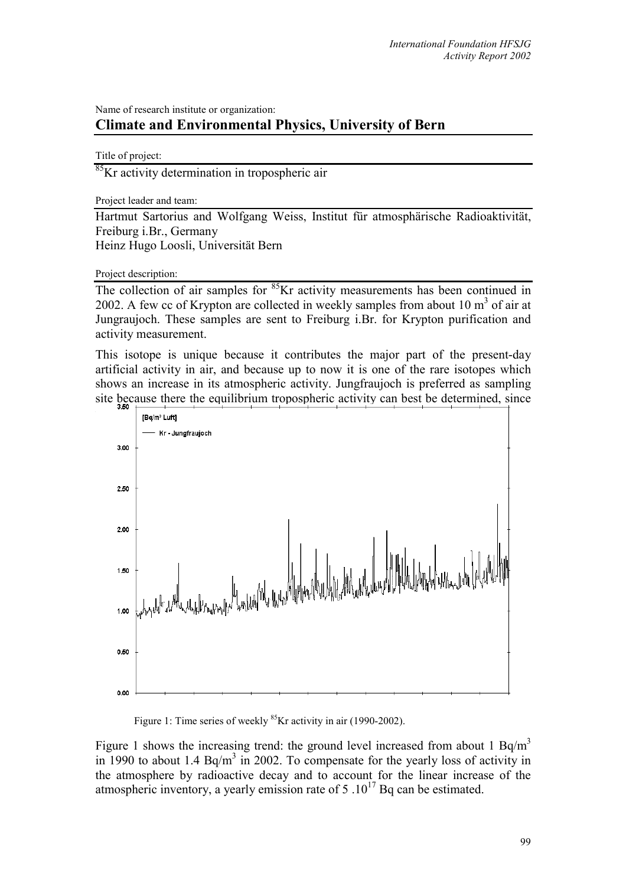## Name of research institute or organization: **Climate and Environmental Physics, University of Bern**

Title of project:

<sup>85</sup>Kr activity determination in tropospheric air

Project leader and team:

Hartmut Sartorius and Wolfgang Weiss, Institut für atmosphärische Radioaktivität, Freiburg i.Br., Germany Heinz Hugo Loosli, Universität Bern

Project description:

The collection of air samples for <sup>85</sup>Kr activity measurements has been continued in 2002. A few cc of Krypton are collected in weekly samples from about  $10 \text{ m}^3$  of air at Jungraujoch. These samples are sent to Freiburg i.Br. for Krypton purification and activity measurement.

This isotope is unique because it contributes the major part of the present-day artificial activity in air, and because up to now it is one of the rare isotopes which shows an increase in its atmospheric activity. Jungfraujoch is preferred as sampling site because there the equilibrium tropospheric activity can best be determined, since



Figure 1: Time series of weekly <sup>85</sup>Kr activity in air (1990-2002).

Figure 1 shows the increasing trend: the ground level increased from about 1  $Bq/m<sup>3</sup>$ in 1990 to about 1.4 Bq/m<sup>3</sup> in 2002. To compensate for the yearly loss of activity in the atmosphere by radioactive decay and to account for the linear increase of the atmospheric inventory, a yearly emission rate of  $5 \cdot 10^{17}$  Bq can be estimated.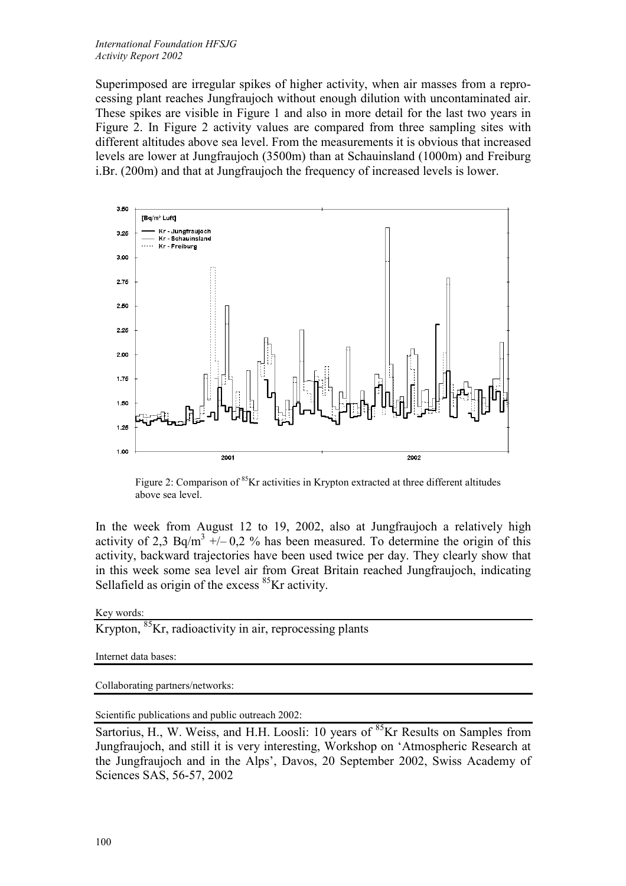Superimposed are irregular spikes of higher activity, when air masses from a reprocessing plant reaches Jungfraujoch without enough dilution with uncontaminated air. These spikes are visible in Figure 1 and also in more detail for the last two years in Figure 2. In Figure 2 activity values are compared from three sampling sites with different altitudes above sea level. From the measurements it is obvious that increased levels are lower at Jungfraujoch (3500m) than at Schauinsland (1000m) and Freiburg i.Br. (200m) and that at Jungfraujoch the frequency of increased levels is lower.



Figure 2: Comparison of <sup>85</sup>Kr activities in Krypton extracted at three different altitudes above sea level.

In the week from August 12 to 19, 2002, also at Jungfraujoch a relatively high activity of 2,3 Bq/m<sup>3</sup> +/- 0,2 % has been measured. To determine the origin of this activity, backward trajectories have been used twice per day. They clearly show that in this week some sea level air from Great Britain reached Jungfraujoch, indicating Sellafield as origin of the excess  $85$ Kr activity.

## Key words:

Krypton, <sup>85</sup>Kr, radioactivity in air, reprocessing plants

Internet data bases:

Collaborating partners/networks:

Scientific publications and public outreach 2002:

Sartorius, H., W. Weiss, and H.H. Loosli: 10 years of  ${}^{85}$ Kr Results on Samples from Jungfraujoch, and still it is very interesting, Workshop on 'Atmospheric Research at the Jungfraujoch and in the Alps', Davos, 20 September 2002, Swiss Academy of Sciences SAS, 56-57, 2002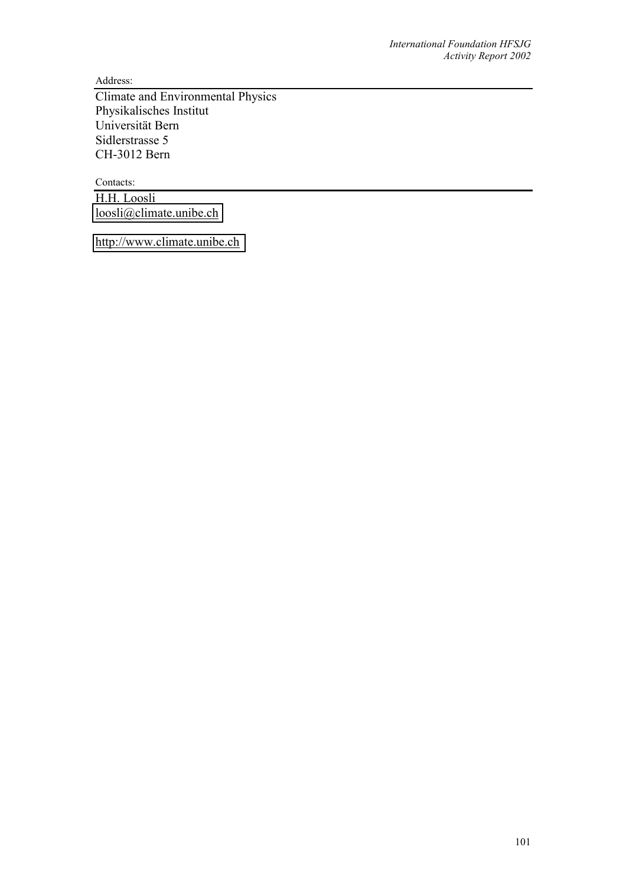Address:

Climate and Environmental Physics Physikalisches Institut Universität Bern Sidlerstrasse 5 CH-3012 Bern

Contacts: H.H. Loosli [loosli@climate.unibe.ch](mailto:loosli@climate.unibe.ch)

[http://www.climate.unibe.ch](http://www.climate.unibe.ch/)